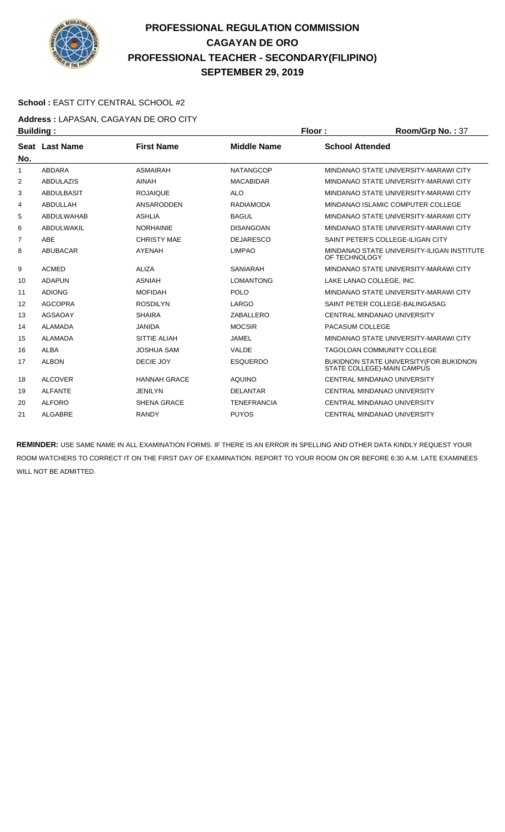

#### **School :** EAST CITY CENTRAL SCHOOL #2

**Address :** LAPASAN, CAGAYAN DE ORO CITY **Building : Floor : Floor : Room/Grp No. : 37** 

| No. | Seat Last Name    | <b>First Name</b>   | <b>Middle Name</b> | <b>School Attended</b>                                                |
|-----|-------------------|---------------------|--------------------|-----------------------------------------------------------------------|
| 1   | ABDARA            | <b>ASMAIRAH</b>     | NATANGCOP          | MINDANAO STATE UNIVERSITY-MARAWI CITY                                 |
| 2   | <b>ABDULAZIS</b>  | <b>AINAH</b>        | <b>MACABIDAR</b>   | MINDANAO STATE UNIVERSITY-MARAWI CITY                                 |
| 3   | <b>ABDULBASIT</b> | <b>ROJAIQUE</b>     | <b>ALO</b>         | MINDANAO STATE UNIVERSITY-MARAWI CITY                                 |
| 4   | ABDULLAH          | ANSARODDEN          | <b>RADIAMODA</b>   | MINDANAO ISLAMIC COMPUTER COLLEGE                                     |
| 5   | ABDULWAHAB        | <b>ASHLIA</b>       | <b>BAGUL</b>       | MINDANAO STATE UNIVERSITY-MARAWI CITY                                 |
| 6   | ABDULWAKIL        | <b>NORHAINIE</b>    | <b>DISANGOAN</b>   | MINDANAO STATE UNIVERSITY-MARAWI CITY                                 |
| 7   | <b>ABE</b>        | <b>CHRISTY MAE</b>  | <b>DEJARESCO</b>   | SAINT PETER'S COLLEGE-ILIGAN CITY                                     |
| 8   | <b>ABUBACAR</b>   | <b>AYENAH</b>       | <b>LIMPAO</b>      | MINDANAO STATE UNIVERSITY-ILIGAN INSTITUTE<br>OF TECHNOLOGY           |
| 9   | <b>ACMED</b>      | ALIZA               | <b>SANIARAH</b>    | MINDANAO STATE UNIVERSITY-MARAWI CITY                                 |
| 10  | <b>ADAPUN</b>     | <b>ASNIAH</b>       | <b>LOMANTONG</b>   | LAKE LANAO COLLEGE. INC.                                              |
| 11  | <b>ADIONG</b>     | <b>MOFIDAH</b>      | <b>POLO</b>        | MINDANAO STATE UNIVERSITY-MARAWI CITY                                 |
| 12  | <b>AGCOPRA</b>    | <b>ROSDILYN</b>     | LARGO              | SAINT PETER COLLEGE-BALINGASAG                                        |
| 13  | AGSAOAY           | <b>SHAIRA</b>       | ZABALLERO          | <b>CENTRAL MINDANAO UNIVERSITY</b>                                    |
| 14  | <b>ALAMADA</b>    | <b>JANIDA</b>       | <b>MOCSIR</b>      | PACASUM COLLEGE                                                       |
| 15  | ALAMADA           | <b>SITTIE ALIAH</b> | JAMEL              | MINDANAO STATE UNIVERSITY-MARAWI CITY                                 |
| 16  | <b>ALBA</b>       | <b>JOSHUA SAM</b>   | VALDE              | <b>TAGOLOAN COMMUNITY COLLEGE</b>                                     |
| 17  | <b>ALBON</b>      | DECIE JOY           | <b>ESQUERDO</b>    | BUKIDNON STATE UNIVERSITY (FOR.BUKIDNON<br>STATE COLLEGE)-MAIN CAMPUS |
| 18  | <b>ALCOVER</b>    | <b>HANNAH GRACE</b> | <b>AQUINO</b>      | <b>CENTRAL MINDANAO UNIVERSITY</b>                                    |
| 19  | <b>ALFANTE</b>    | <b>JENILYN</b>      | <b>DELANTAR</b>    | CENTRAL MINDANAO UNIVERSITY                                           |
| 20  | <b>ALFORO</b>     | SHENA GRACE         | <b>TENEFRANCIA</b> | CENTRAL MINDANAO UNIVERSITY                                           |
| 21  | <b>ALGABRE</b>    | <b>RANDY</b>        | <b>PUYOS</b>       | <b>CENTRAL MINDANAO UNIVERSITY</b>                                    |
|     |                   |                     |                    |                                                                       |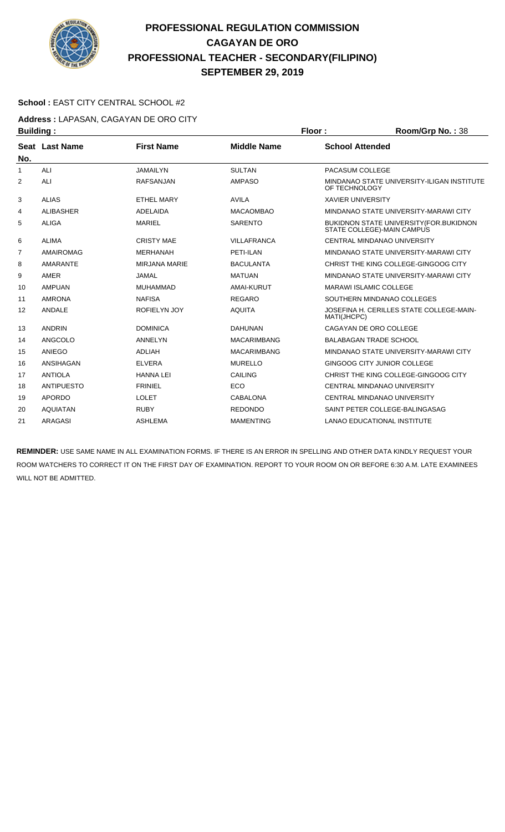

#### **School :** EAST CITY CENTRAL SCHOOL #2

**Address :** LAPASAN, CAGAYAN DE ORO CITY **Building : Floor : Room/Grp No. :** 38

| ,,,,,,,,,, |                   |                      |                    |                                                                       |
|------------|-------------------|----------------------|--------------------|-----------------------------------------------------------------------|
| No.        | Seat Last Name    | <b>First Name</b>    | <b>Middle Name</b> | <b>School Attended</b>                                                |
| 1          | ALI               | <b>JAMAILYN</b>      | <b>SULTAN</b>      | PACASUM COLLEGE                                                       |
| 2          | ALI               | <b>RAFSANJAN</b>     | <b>AMPASO</b>      | MINDANAO STATE UNIVERSITY-ILIGAN INSTITUTE<br>OF TECHNOLOGY           |
| 3          | <b>ALIAS</b>      | <b>ETHEL MARY</b>    | <b>AVILA</b>       | <b>XAVIER UNIVERSITY</b>                                              |
| 4          | <b>ALIBASHER</b>  | ADELAIDA             | <b>MACAOMBAO</b>   | MINDANAO STATE UNIVERSITY-MARAWI CITY                                 |
| 5          | <b>ALIGA</b>      | <b>MARIEL</b>        | <b>SARENTO</b>     | BUKIDNON STATE UNIVERSITY (FOR BUKIDNON<br>STATE COLLEGE)-MAIN CAMPUS |
| 6          | <b>ALIMA</b>      | <b>CRISTY MAE</b>    | VILLAFRANCA        | CENTRAL MINDANAO UNIVERSITY                                           |
| 7          | <b>AMAIROMAG</b>  | <b>MERHANAH</b>      | PETI-ILAN          | MINDANAO STATE UNIVERSITY-MARAWI CITY                                 |
| 8          | <b>AMARANTE</b>   | <b>MIRJANA MARIE</b> | <b>BACULANTA</b>   | CHRIST THE KING COLLEGE-GINGOOG CITY                                  |
| 9          | AMER              | <b>JAMAL</b>         | <b>MATUAN</b>      | MINDANAO STATE UNIVERSITY-MARAWI CITY                                 |
| 10         | <b>AMPUAN</b>     | <b>MUHAMMAD</b>      | <b>AMAI-KURUT</b>  | <b>MARAWI ISLAMIC COLLEGE</b>                                         |
| 11         | <b>AMRONA</b>     | <b>NAFISA</b>        | <b>REGARO</b>      | SOUTHERN MINDANAO COLLEGES                                            |
| 12         | <b>ANDALE</b>     | ROFIELYN JOY         | <b>AQUITA</b>      | JOSEFINA H. CERILLES STATE COLLEGE-MAIN-<br>MATI(JHCPC)               |
| 13         | <b>ANDRIN</b>     | <b>DOMINICA</b>      | DAHUNAN            | CAGAYAN DE ORO COLLEGE                                                |
| 14         | ANGCOLO           | ANNELYN              | <b>MACARIMBANG</b> | <b>BALABAGAN TRADE SCHOOL</b>                                         |
| 15         | ANIEGO            | <b>ADLIAH</b>        | <b>MACARIMBANG</b> | MINDANAO STATE UNIVERSITY-MARAWI CITY                                 |
| 16         | ANSIHAGAN         | <b>ELVERA</b>        | <b>MURELLO</b>     | GINGOOG CITY JUNIOR COLLEGE                                           |
| 17         | <b>ANTIOLA</b>    | <b>HANNA LEI</b>     | <b>CAILING</b>     | CHRIST THE KING COLLEGE-GINGOOG CITY                                  |
| 18         | <b>ANTIPUESTO</b> | <b>FRINIEL</b>       | ECO                | <b>CENTRAL MINDANAO UNIVERSITY</b>                                    |
| 19         | <b>APORDO</b>     | <b>LOLET</b>         | <b>CABALONA</b>    | CENTRAL MINDANAO UNIVERSITY                                           |
| 20         | <b>AQUIATAN</b>   | <b>RUBY</b>          | <b>REDONDO</b>     | SAINT PETER COLLEGE-BALINGASAG                                        |
| 21         | ARAGASI           | <b>ASHLEMA</b>       | <b>MAMENTING</b>   | <b>LANAO EDUCATIONAL INSTITUTE</b>                                    |
|            |                   |                      |                    |                                                                       |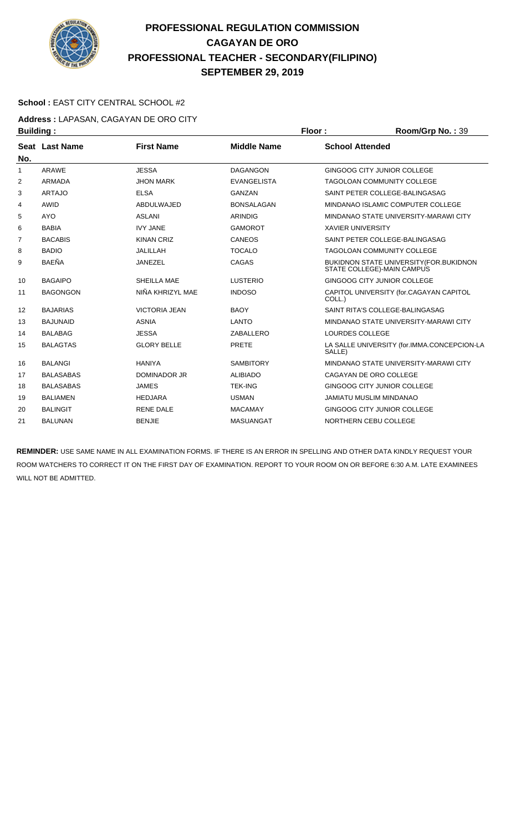

#### **School :** EAST CITY CENTRAL SCHOOL #2

**Address :** LAPASAN, CAGAYAN DE ORO CITY **Building : Floor : Room/Grp No. : 39** 

| sananig i      |                  |                      |                    |                                                                        |
|----------------|------------------|----------------------|--------------------|------------------------------------------------------------------------|
| No.            | Seat Last Name   | <b>First Name</b>    | <b>Middle Name</b> | <b>School Attended</b>                                                 |
| 1              | ARAWE            | <b>JESSA</b>         | <b>DAGANGON</b>    | GINGOOG CITY JUNIOR COLLEGE                                            |
| 2              | <b>ARMADA</b>    | <b>JHON MARK</b>     | <b>EVANGELISTA</b> | <b>TAGOLOAN COMMUNITY COLLEGE</b>                                      |
| 3              | <b>ARTAJO</b>    | <b>ELSA</b>          | <b>GANZAN</b>      | SAINT PETER COLLEGE-BALINGASAG                                         |
| 4              | AWID             | ABDULWAJED           | <b>BONSALAGAN</b>  | MINDANAO ISLAMIC COMPUTER COLLEGE                                      |
| 5              | <b>AYO</b>       | <b>ASLANI</b>        | <b>ARINDIG</b>     | MINDANAO STATE UNIVERSITY-MARAWI CITY                                  |
| 6              | <b>BABIA</b>     | <b>IVY JANE</b>      | <b>GAMOROT</b>     | <b>XAVIER UNIVERSITY</b>                                               |
| $\overline{7}$ | <b>BACABIS</b>   | <b>KINAN CRIZ</b>    | CANEOS             | SAINT PETER COLLEGE-BALINGASAG                                         |
| 8              | <b>BADIO</b>     | <b>JALILLAH</b>      | <b>TOCALO</b>      | <b>TAGOLOAN COMMUNITY COLLEGE</b>                                      |
| 9              | <b>BAEÑA</b>     | <b>JANEZEL</b>       | CAGAS              | BUKIDNON STATE UNIVERSITY (FOR. BUKIDNON<br>STATE COLLEGE)-MAIN CAMPUS |
| 10             | <b>BAGAIPO</b>   | SHEILLA MAE          | <b>LUSTERIO</b>    | GINGOOG CITY JUNIOR COLLEGE                                            |
| 11             | <b>BAGONGON</b>  | NIÑA KHRIZYL MAE     | <b>INDOSO</b>      | CAPITOL UNIVERSITY (for.CAGAYAN CAPITOL<br>COLL.)                      |
| 12             | <b>BAJARIAS</b>  | <b>VICTORIA JEAN</b> | <b>BAOY</b>        | SAINT RITA'S COLLEGE-BALINGASAG                                        |
| 13             | <b>BAJUNAID</b>  | <b>ASNIA</b>         | <b>LANTO</b>       | MINDANAO STATE UNIVERSITY-MARAWI CITY                                  |
| 14             | <b>BALABAG</b>   | <b>JESSA</b>         | ZABALLERO          | LOURDES COLLEGE                                                        |
| 15             | <b>BALAGTAS</b>  | <b>GLORY BELLE</b>   | <b>PRETE</b>       | LA SALLE UNIVERSITY (for.IMMA.CONCEPCION-LA<br>SALLE)                  |
| 16             | <b>BALANGI</b>   | <b>HANIYA</b>        | <b>SAMBITORY</b>   | MINDANAO STATE UNIVERSITY-MARAWI CITY                                  |
| 17             | <b>BALASABAS</b> | <b>DOMINADOR JR</b>  | <b>ALIBIADO</b>    | CAGAYAN DE ORO COLLEGE                                                 |
| 18             | <b>BALASABAS</b> | <b>JAMES</b>         | <b>TEK-ING</b>     | GINGOOG CITY JUNIOR COLLEGE                                            |
| 19             | <b>BALIAMEN</b>  | <b>HEDJARA</b>       | <b>USMAN</b>       | JAMIATU MUSLIM MINDANAO                                                |
| 20             | <b>BALINGIT</b>  | <b>RENE DALE</b>     | <b>MACAMAY</b>     | GINGOOG CITY JUNIOR COLLEGE                                            |
| 21             | <b>BALUNAN</b>   | <b>BENJIE</b>        | <b>MASUANGAT</b>   | NORTHERN CEBU COLLEGE                                                  |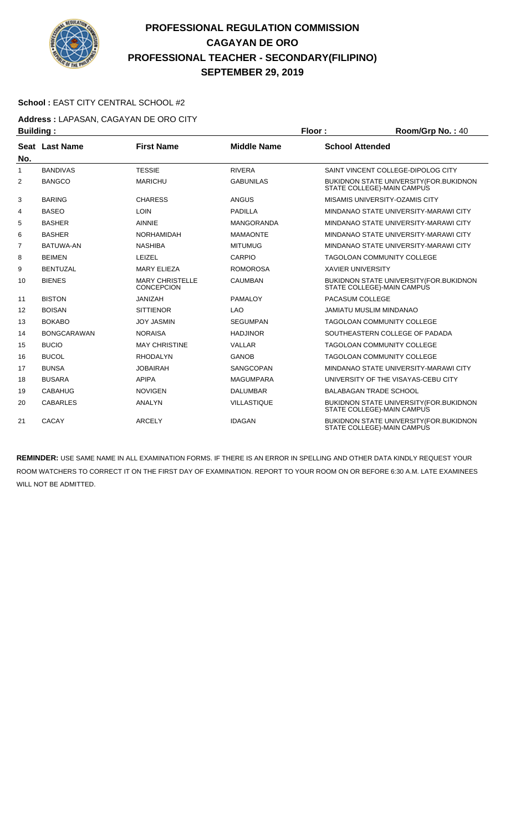

#### **School :** EAST CITY CENTRAL SCHOOL #2

**Address :** LAPASAN, CAGAYAN DE ORO CITY **Building : Floor : Floor : Room/Grp No. :** 40

|              | .                  |                                             |                    |                                                                              |
|--------------|--------------------|---------------------------------------------|--------------------|------------------------------------------------------------------------------|
| No.          | Seat Last Name     | <b>First Name</b>                           | <b>Middle Name</b> | <b>School Attended</b>                                                       |
| $\mathbf{1}$ | <b>BANDIVAS</b>    | <b>TESSIE</b>                               | <b>RIVERA</b>      | SAINT VINCENT COLLEGE-DIPOLOG CITY                                           |
| 2            | <b>BANGCO</b>      | <b>MARICHU</b>                              | <b>GABUNILAS</b>   | BUKIDNON STATE UNIVERSITY (FOR. BUKIDNON<br>STATE COLLEGE)-MAIN CAMPUS       |
| 3            | <b>BARING</b>      | <b>CHARESS</b>                              | <b>ANGUS</b>       | MISAMIS UNIVERSITY-OZAMIS CITY                                               |
| 4            | <b>BASEO</b>       | <b>LOIN</b>                                 | <b>PADILLA</b>     | MINDANAO STATE UNIVERSITY-MARAWI CITY                                        |
| 5            | <b>BASHER</b>      | <b>AINNIE</b>                               | <b>MANGORANDA</b>  | MINDANAO STATE UNIVERSITY-MARAWI CITY                                        |
| 6            | <b>BASHER</b>      | <b>NORHAMIDAH</b>                           | <b>MAMAONTE</b>    | MINDANAO STATE UNIVERSITY-MARAWI CITY                                        |
| 7            | BATUWA-AN          | <b>NASHIBA</b>                              | <b>MITUMUG</b>     | MINDANAO STATE UNIVERSITY-MARAWI CITY                                        |
| 8            | <b>BEIMEN</b>      | LEIZEL                                      | CARPIO             | <b>TAGOLOAN COMMUNITY COLLEGE</b>                                            |
| 9            | <b>BENTUZAL</b>    | <b>MARY ELIEZA</b>                          | <b>ROMOROSA</b>    | <b>XAVIER UNIVERSITY</b>                                                     |
| 10           | <b>BIENES</b>      | <b>MARY CHRISTELLE</b><br><b>CONCEPCION</b> | <b>CAUMBAN</b>     | <b>BUKIDNON STATE UNIVERSITY (FOR.BUKIDNON</b><br>STATE COLLEGE)-MAIN CAMPUS |
| 11           | <b>BISTON</b>      | <b>JANIZAH</b>                              | <b>PAMALOY</b>     | PACASUM COLLEGE                                                              |
| 12           | <b>BOISAN</b>      | <b>SITTIENOR</b>                            | <b>LAO</b>         | <b>JAMIATU MUSLIM MINDANAO</b>                                               |
| 13           | <b>BOKABO</b>      | <b>JOY JASMIN</b>                           | <b>SEGUMPAN</b>    | <b>TAGOLOAN COMMUNITY COLLEGE</b>                                            |
| 14           | <b>BONGCARAWAN</b> | <b>NORAISA</b>                              | <b>HADJINOR</b>    | SOUTHEASTERN COLLEGE OF PADADA                                               |
| 15           | <b>BUCIO</b>       | <b>MAY CHRISTINE</b>                        | <b>VALLAR</b>      | <b>TAGOLOAN COMMUNITY COLLEGE</b>                                            |
| 16           | <b>BUCOL</b>       | <b>RHODALYN</b>                             | <b>GANOB</b>       | <b>TAGOLOAN COMMUNITY COLLEGE</b>                                            |
| 17           | <b>BUNSA</b>       | <b>JOBAIRAH</b>                             | SANGCOPAN          | MINDANAO STATE UNIVERSITY-MARAWI CITY                                        |
| 18           | <b>BUSARA</b>      | <b>APIPA</b>                                | <b>MAGUMPARA</b>   | UNIVERSITY OF THE VISAYAS-CEBU CITY                                          |
| 19           | <b>CABAHUG</b>     | <b>NOVIGEN</b>                              | <b>DALUMBAR</b>    | <b>BALABAGAN TRADE SCHOOL</b>                                                |
| 20           | <b>CABARLES</b>    | <b>ANALYN</b>                               | <b>VILLASTIQUE</b> | BUKIDNON STATE UNIVERSITY (FOR. BUKIDNON<br>STATE COLLEGE)-MAIN CAMPUS       |
| 21           | <b>CACAY</b>       | <b>ARCELY</b>                               | <b>IDAGAN</b>      | BUKIDNON STATE UNIVERSITY (FOR. BUKIDNON<br>STATE COLLEGE)-MAIN CAMPUS       |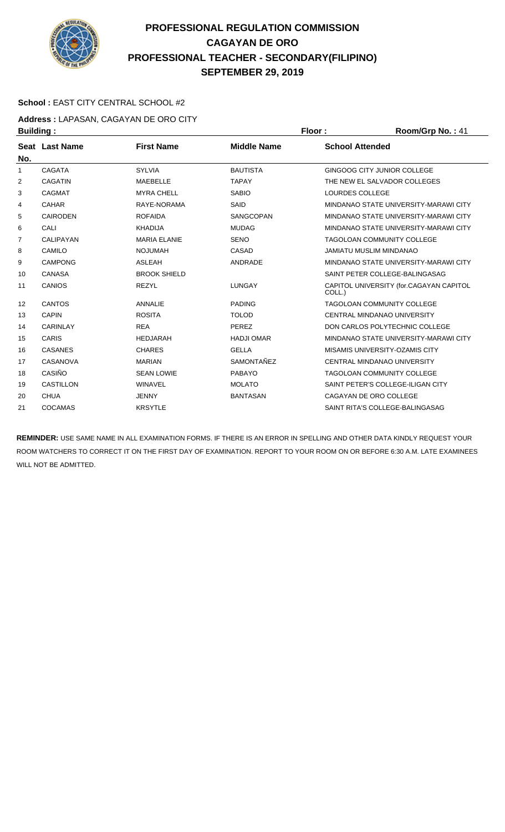

#### **School :** EAST CITY CENTRAL SCHOOL #2

**Address :** LAPASAN, CAGAYAN DE ORO CITY **Building : Floor : Room/Grp No. : 41** 

|                | .                |                     |                    |                                                   |
|----------------|------------------|---------------------|--------------------|---------------------------------------------------|
| No.            | Seat Last Name   | <b>First Name</b>   | <b>Middle Name</b> | <b>School Attended</b>                            |
| 1              | <b>CAGATA</b>    | <b>SYLVIA</b>       | <b>BAUTISTA</b>    | GINGOOG CITY JUNIOR COLLEGE                       |
| 2              | <b>CAGATIN</b>   | <b>MAEBELLE</b>     | <b>TAPAY</b>       | THE NEW EL SALVADOR COLLEGES                      |
| 3              | <b>CAGMAT</b>    | <b>MYRA CHELL</b>   | <b>SABIO</b>       | LOURDES COLLEGE                                   |
| 4              | <b>CAHAR</b>     | RAYE-NORAMA         | SAID               | MINDANAO STATE UNIVERSITY-MARAWI CITY             |
| 5              | <b>CAIRODEN</b>  | <b>ROFAIDA</b>      | SANGCOPAN          | MINDANAO STATE UNIVERSITY-MARAWI CITY             |
| 6              | CALI             | <b>KHADIJA</b>      | <b>MUDAG</b>       | MINDANAO STATE UNIVERSITY-MARAWI CITY             |
| $\overline{7}$ | CALIPAYAN        | <b>MARIA ELANIE</b> | <b>SENO</b>        | TAGOLOAN COMMUNITY COLLEGE                        |
| 8              | <b>CAMILO</b>    | <b>NOJUMAH</b>      | CASAD              | JAMIATU MUSLIM MINDANAO                           |
| 9              | <b>CAMPONG</b>   | <b>ASLEAH</b>       | ANDRADE            | MINDANAO STATE UNIVERSITY-MARAWI CITY             |
| 10             | <b>CANASA</b>    | <b>BROOK SHIELD</b> |                    | SAINT PETER COLLEGE-BALINGASAG                    |
| 11             | <b>CANIOS</b>    | <b>REZYL</b>        | <b>LUNGAY</b>      | CAPITOL UNIVERSITY (for.CAGAYAN CAPITOL<br>COLL.) |
| 12             | <b>CANTOS</b>    | <b>ANNALIE</b>      | <b>PADING</b>      | TAGOLOAN COMMUNITY COLLEGE                        |
| 13             | <b>CAPIN</b>     | <b>ROSITA</b>       | <b>TOLOD</b>       | CENTRAL MINDANAO UNIVERSITY                       |
| 14             | <b>CARINLAY</b>  | <b>REA</b>          | <b>PEREZ</b>       | DON CARLOS POLYTECHNIC COLLEGE                    |
| 15             | <b>CARIS</b>     | <b>HEDJARAH</b>     | <b>HADJI OMAR</b>  | MINDANAO STATE UNIVERSITY-MARAWI CITY             |
| 16             | <b>CASANES</b>   | <b>CHARES</b>       | <b>GELLA</b>       | MISAMIS UNIVERSITY-OZAMIS CITY                    |
| 17             | CASANOVA         | <b>MARIAN</b>       | SAMONTAÑEZ         | CENTRAL MINDANAO UNIVERSITY                       |
| 18             | CASIÑO           | <b>SEAN LOWIE</b>   | <b>PABAYO</b>      | TAGOLOAN COMMUNITY COLLEGE                        |
| 19             | <b>CASTILLON</b> | <b>WINAVEL</b>      | <b>MOLATO</b>      | SAINT PETER'S COLLEGE-ILIGAN CITY                 |
| 20             | <b>CHUA</b>      | <b>JENNY</b>        | <b>BANTASAN</b>    | CAGAYAN DE ORO COLLEGE                            |
| 21             | <b>COCAMAS</b>   | <b>KRSYTLE</b>      |                    | SAINT RITA'S COLLEGE-BALINGASAG                   |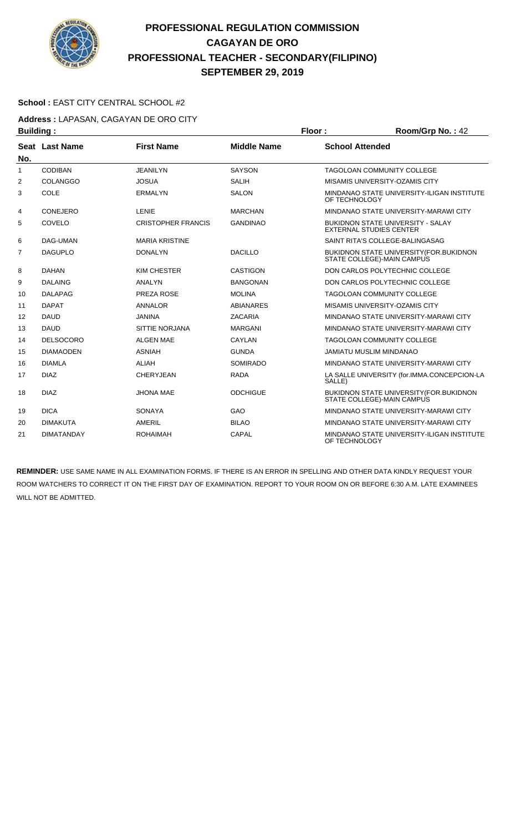

#### School : EAST CITY CENTRAL SCHOOL #2

**Address :** LAPASAN, CAGAYAN DE ORO CITY

| <b>Building:</b> |                   |                           | Floor:             | Room/Grp No.: 42       |                                                                              |
|------------------|-------------------|---------------------------|--------------------|------------------------|------------------------------------------------------------------------------|
|                  | Seat Last Name    | <b>First Name</b>         | <b>Middle Name</b> | <b>School Attended</b> |                                                                              |
| No.              |                   |                           |                    |                        |                                                                              |
| $\mathbf{1}$     | <b>CODIBAN</b>    | <b>JEANILYN</b>           | <b>SAYSON</b>      |                        | <b>TAGOLOAN COMMUNITY COLLEGE</b>                                            |
| $\overline{2}$   | <b>COLANGGO</b>   | <b>JOSUA</b>              | <b>SALIH</b>       |                        | MISAMIS UNIVERSITY-OZAMIS CITY                                               |
| 3                | COLE              | <b>ERMALYN</b>            | <b>SALON</b>       | OF TECHNOLOGY          | MINDANAO STATE UNIVERSITY-ILIGAN INSTITUTE                                   |
| 4                | CONEJERO          | LENIE                     | <b>MARCHAN</b>     |                        | MINDANAO STATE UNIVERSITY-MARAWI CITY                                        |
| 5                | COVELO            | <b>CRISTOPHER FRANCIS</b> | <b>GANDINAO</b>    |                        | <b>BUKIDNON STATE UNIVERSITY - SALAY</b><br><b>EXTERNAL STUDIES CENTER</b>   |
| 6                | DAG-UMAN          | <b>MARIA KRISTINE</b>     |                    |                        | SAINT RITA'S COLLEGE-BALINGASAG                                              |
| $\overline{7}$   | <b>DAGUPLO</b>    | <b>DONALYN</b>            | <b>DACILLO</b>     |                        | <b>BUKIDNON STATE UNIVERSITY (FOR.BUKIDNON</b><br>STATE COLLEGE)-MAIN CAMPUS |
| 8                | <b>DAHAN</b>      | KIM CHESTER               | <b>CASTIGON</b>    |                        | DON CARLOS POLYTECHNIC COLLEGE                                               |
| 9                | <b>DALAING</b>    | <b>ANALYN</b>             | <b>BANGONAN</b>    |                        | DON CARLOS POLYTECHNIC COLLEGE                                               |
| 10               | <b>DALAPAG</b>    | PREZA ROSE                | <b>MOLINA</b>      |                        | <b>TAGOLOAN COMMUNITY COLLEGE</b>                                            |
| 11               | <b>DAPAT</b>      | <b>ANNALOR</b>            | <b>ABIANARES</b>   |                        | MISAMIS UNIVERSITY-OZAMIS CITY                                               |
| 12               | <b>DAUD</b>       | <b>JANINA</b>             | ZACARIA            |                        | MINDANAO STATE UNIVERSITY-MARAWI CITY                                        |
| 13               | <b>DAUD</b>       | SITTIE NORJANA            | <b>MARGANI</b>     |                        | MINDANAO STATE UNIVERSITY-MARAWI CITY                                        |
| 14               | <b>DELSOCORO</b>  | <b>ALGEN MAE</b>          | <b>CAYLAN</b>      |                        | <b>TAGOLOAN COMMUNITY COLLEGE</b>                                            |
| 15               | <b>DIAMAODEN</b>  | <b>ASNIAH</b>             | <b>GUNDA</b>       |                        | <b>JAMIATU MUSLIM MINDANAO</b>                                               |
| 16               | <b>DIAMLA</b>     | <b>ALIAH</b>              | <b>SOMIRADO</b>    |                        | MINDANAO STATE UNIVERSITY-MARAWI CITY                                        |
| 17               | <b>DIAZ</b>       | <b>CHERYJEAN</b>          | <b>RADA</b>        | SALLE)                 | LA SALLE UNIVERSITY (for.IMMA.CONCEPCION-LA                                  |
| 18               | <b>DIAZ</b>       | <b>JHONA MAE</b>          | <b>ODCHIGUE</b>    |                        | <b>BUKIDNON STATE UNIVERSITY (FOR.BUKIDNON</b><br>STATE COLLEGE)-MAIN CAMPUS |
| 19               | <b>DICA</b>       | <b>SONAYA</b>             | GAO                |                        | MINDANAO STATE UNIVERSITY-MARAWI CITY                                        |
| 20               | <b>DIMAKUTA</b>   | AMERIL                    | <b>BILAO</b>       |                        | MINDANAO STATE UNIVERSITY-MARAWI CITY                                        |
| 21               | <b>DIMATANDAY</b> | <b>ROHAIMAH</b>           | CAPAL              | OF TECHNOLOGY          | MINDANAO STATE UNIVERSITY-ILIGAN INSTITUTE                                   |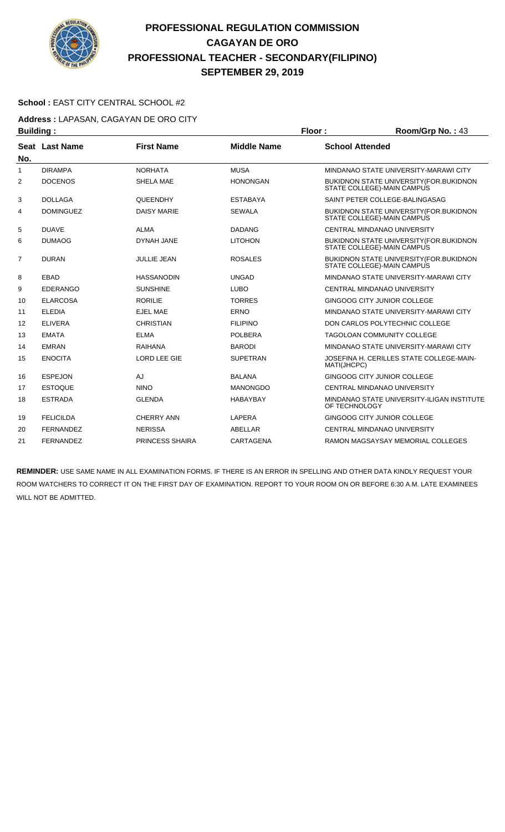

#### School : EAST CITY CENTRAL SCHOOL #2

**Address :** LAPASAN, CAGAYAN DE ORO CITY

| <b>Building:</b> |                  |                        |                    | Floor:                 | Room/Grp No.: 43                                                       |
|------------------|------------------|------------------------|--------------------|------------------------|------------------------------------------------------------------------|
| No.              | Seat Last Name   | <b>First Name</b>      | <b>Middle Name</b> | <b>School Attended</b> |                                                                        |
| 1                | <b>DIRAMPA</b>   | <b>NORHATA</b>         | <b>MUSA</b>        |                        | MINDANAO STATE UNIVERSITY-MARAWI CITY                                  |
| $\overline{2}$   | <b>DOCENOS</b>   | <b>SHELA MAE</b>       | <b>HONONGAN</b>    |                        | BUKIDNON STATE UNIVERSITY (FOR. BUKIDNON<br>STATE COLLEGE)-MAIN CAMPUS |
| 3                | <b>DOLLAGA</b>   | QUEENDHY               | <b>ESTABAYA</b>    |                        | SAINT PETER COLLEGE-BALINGASAG                                         |
| 4                | <b>DOMINGUEZ</b> | <b>DAISY MARIE</b>     | <b>SEWALA</b>      |                        | BUKIDNON STATE UNIVERSITY (FOR.BUKIDNON<br>STATE COLLEGE)-MAIN CAMPUS  |
| 5                | <b>DUAVE</b>     | <b>ALMA</b>            | <b>DADANG</b>      |                        | CENTRAL MINDANAO UNIVERSITY                                            |
| 6                | <b>DUMAOG</b>    | DYNAH JANE             | <b>LITOHON</b>     |                        | BUKIDNON STATE UNIVERSITY (FOR.BUKIDNON<br>STATE COLLEGE)-MAIN CAMPUS  |
| 7                | <b>DURAN</b>     | <b>JULLIE JEAN</b>     | <b>ROSALES</b>     |                        | BUKIDNON STATE UNIVERSITY (FOR. BUKIDNON<br>STATE COLLEGE)-MAIN CAMPUS |
| 8                | EBAD             | <b>HASSANODIN</b>      | <b>UNGAD</b>       |                        | MINDANAO STATE UNIVERSITY-MARAWI CITY                                  |
| 9                | <b>EDERANGO</b>  | <b>SUNSHINE</b>        | <b>LUBO</b>        |                        | CENTRAL MINDANAO UNIVERSITY                                            |
| 10               | <b>ELARCOSA</b>  | <b>RORILIE</b>         | <b>TORRES</b>      |                        | GINGOOG CITY JUNIOR COLLEGE                                            |
| 11               | <b>ELEDIA</b>    | <b>EJEL MAE</b>        | <b>ERNO</b>        |                        | MINDANAO STATE UNIVERSITY-MARAWI CITY                                  |
| 12               | <b>ELIVERA</b>   | <b>CHRISTIAN</b>       | <b>FILIPINO</b>    |                        | DON CARLOS POLYTECHNIC COLLEGE                                         |
| 13               | <b>EMATA</b>     | <b>ELMA</b>            | <b>POLBERA</b>     |                        | TAGOLOAN COMMUNITY COLLEGE                                             |
| 14               | <b>EMRAN</b>     | <b>RAIHANA</b>         | <b>BARODI</b>      |                        | MINDANAO STATE UNIVERSITY-MARAWI CITY                                  |
| 15               | <b>ENOCITA</b>   | <b>LORD LEE GIE</b>    | <b>SUPETRAN</b>    | MATI(JHCPC)            | JOSEFINA H. CERILLES STATE COLLEGE-MAIN-                               |
| 16               | <b>ESPEJON</b>   | AJ                     | <b>BALANA</b>      |                        | GINGOOG CITY JUNIOR COLLEGE                                            |
| 17               | <b>ESTOQUE</b>   | <b>NINO</b>            | <b>MANONGDO</b>    |                        | CENTRAL MINDANAO UNIVERSITY                                            |
| 18               | <b>ESTRADA</b>   | <b>GLENDA</b>          | <b>HABAYBAY</b>    | OF TECHNOLOGY          | MINDANAO STATE UNIVERSITY-ILIGAN INSTITUTE                             |
| 19               | <b>FELICILDA</b> | <b>CHERRY ANN</b>      | <b>LAPERA</b>      |                        | GINGOOG CITY JUNIOR COLLEGE                                            |
| 20               | <b>FERNANDEZ</b> | <b>NERISSA</b>         | ABELLAR            |                        | CENTRAL MINDANAO UNIVERSITY                                            |
| 21               | <b>FERNANDEZ</b> | <b>PRINCESS SHAIRA</b> | CARTAGENA          |                        | RAMON MAGSAYSAY MEMORIAL COLLEGES                                      |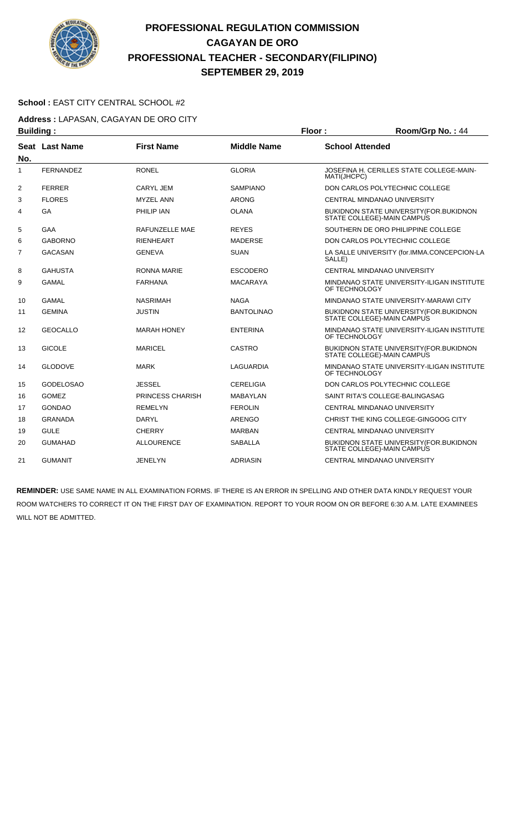

#### **School :** EAST CITY CENTRAL SCHOOL #2

**Address :** LAPASAN, CAGAYAN DE ORO CITY

| <b>Building:</b> |                       |                         |                    | Floor:                 | Room/Grp No.: 44                                                             |
|------------------|-----------------------|-------------------------|--------------------|------------------------|------------------------------------------------------------------------------|
|                  | <b>Seat Last Name</b> | <b>First Name</b>       | <b>Middle Name</b> | <b>School Attended</b> |                                                                              |
| No.              |                       |                         |                    |                        |                                                                              |
| 1                | <b>FERNANDEZ</b>      | <b>RONEL</b>            | <b>GLORIA</b>      | MATI(JHCPC)            | JOSEFINA H. CERILLES STATE COLLEGE-MAIN-                                     |
| 2                | <b>FERRER</b>         | <b>CARYL JEM</b>        | <b>SAMPIANO</b>    |                        | DON CARLOS POLYTECHNIC COLLEGE                                               |
| 3                | <b>FLORES</b>         | <b>MYZEL ANN</b>        | <b>ARONG</b>       |                        | CENTRAL MINDANAO UNIVERSITY                                                  |
| 4                | GA                    | PHILIP IAN              | <b>OLANA</b>       |                        | BUKIDNON STATE UNIVERSITY (FOR. BUKIDNON<br>STATE COLLEGE)-MAIN CAMPUS       |
| 5                | GAA                   | <b>RAFUNZELLE MAE</b>   | <b>REYES</b>       |                        | SOUTHERN DE ORO PHILIPPINE COLLEGE                                           |
| 6                | <b>GABORNO</b>        | <b>RIENHEART</b>        | <b>MADERSE</b>     |                        | DON CARLOS POLYTECHNIC COLLEGE                                               |
| $\overline{7}$   | <b>GACASAN</b>        | <b>GENEVA</b>           | <b>SUAN</b>        | SALLE)                 | LA SALLE UNIVERSITY (for.IMMA.CONCEPCION-LA                                  |
| 8                | <b>GAHUSTA</b>        | <b>RONNA MARIE</b>      | <b>ESCODERO</b>    |                        | CENTRAL MINDANAO UNIVERSITY                                                  |
| 9                | GAMAL                 | <b>FARHANA</b>          | <b>MACARAYA</b>    | OF TECHNOLOGY          | MINDANAO STATE UNIVERSITY-ILIGAN INSTITUTE                                   |
| 10               | <b>GAMAL</b>          | <b>NASRIMAH</b>         | <b>NAGA</b>        |                        | MINDANAO STATE UNIVERSITY-MARAWI CITY                                        |
| 11               | <b>GEMINA</b>         | <b>JUSTIN</b>           | <b>BANTOLINAO</b>  |                        | BUKIDNON STATE UNIVERSITY (FOR. BUKIDNON<br>STATE COLLEGE)-MAIN CAMPUS       |
| 12               | <b>GEOCALLO</b>       | <b>MARAH HONEY</b>      | <b>ENTERINA</b>    | OF TECHNOLOGY          | MINDANAO STATE UNIVERSITY-ILIGAN INSTITUTE                                   |
| 13               | <b>GICOLE</b>         | <b>MARICEL</b>          | CASTRO             |                        | <b>BUKIDNON STATE UNIVERSITY (FOR.BUKIDNON</b><br>STATE COLLEGE)-MAIN CAMPUS |
| 14               | <b>GLODOVE</b>        | <b>MARK</b>             | <b>LAGUARDIA</b>   | OF TECHNOLOGY          | MINDANAO STATE UNIVERSITY-ILIGAN INSTITUTE                                   |
| 15               | <b>GODELOSAO</b>      | <b>JESSEL</b>           | <b>CERELIGIA</b>   |                        | DON CARLOS POLYTECHNIC COLLEGE                                               |
| 16               | <b>GOMEZ</b>          | <b>PRINCESS CHARISH</b> | MABAYLAN           |                        | SAINT RITA'S COLLEGE-BALINGASAG                                              |
| 17               | <b>GONDAO</b>         | <b>REMELYN</b>          | <b>FEROLIN</b>     |                        | CENTRAL MINDANAO UNIVERSITY                                                  |
| 18               | <b>GRANADA</b>        | <b>DARYL</b>            | <b>ARENGO</b>      |                        | CHRIST THE KING COLLEGE-GINGOOG CITY                                         |
| 19               | <b>GULE</b>           | <b>CHERRY</b>           | <b>MARBAN</b>      |                        | CENTRAL MINDANAO UNIVERSITY                                                  |
| 20               | <b>GUMAHAD</b>        | <b>ALLOURENCE</b>       | <b>SABALLA</b>     |                        | BUKIDNON STATE UNIVERSITY (FOR.BUKIDNON<br>STATE COLLEGE)-MAIN CAMPUS        |
| 21               | <b>GUMANIT</b>        | <b>JENELYN</b>          | <b>ADRIASIN</b>    |                        | CENTRAL MINDANAO UNIVERSITY                                                  |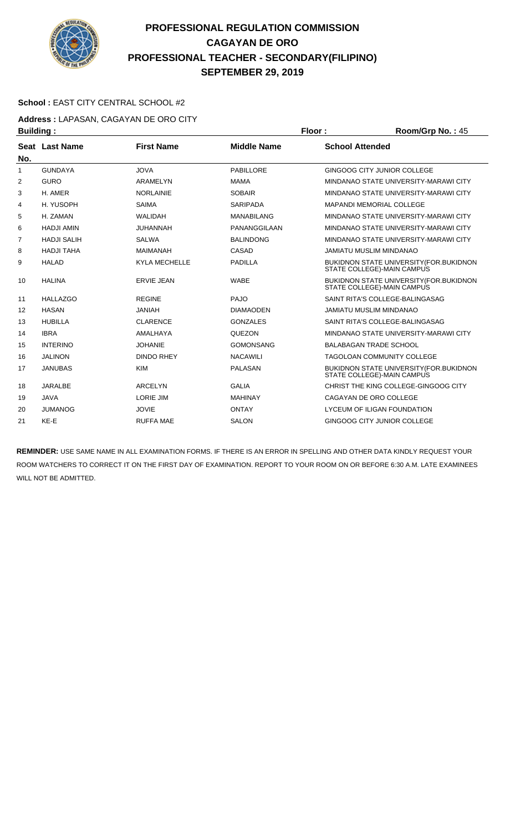

#### **School :** EAST CITY CENTRAL SCHOOL #2

**Address :** LAPASAN, CAGAYAN DE ORO CITY **Building : Floor : Floor : Room/Grp No. : 45** 

| sananig i |                    |                      |                    |                                                                              |
|-----------|--------------------|----------------------|--------------------|------------------------------------------------------------------------------|
| No.       | Seat Last Name     | <b>First Name</b>    | <b>Middle Name</b> | <b>School Attended</b>                                                       |
| 1         | <b>GUNDAYA</b>     | <b>JOVA</b>          | PABILLORE          | GINGOOG CITY JUNIOR COLLEGE                                                  |
| 2         | <b>GURO</b>        | ARAMELYN             | <b>MAMA</b>        | MINDANAO STATE UNIVERSITY-MARAWI CITY                                        |
| 3         | H. AMER            | <b>NORLAINIE</b>     | <b>SOBAIR</b>      | MINDANAO STATE UNIVERSITY-MARAWI CITY                                        |
| 4         | H. YUSOPH          | <b>SAIMA</b>         | <b>SARIPADA</b>    | <b>MAPANDI MEMORIAL COLLEGE</b>                                              |
| 5         | H. ZAMAN           | <b>WALIDAH</b>       | <b>MANABILANG</b>  | MINDANAO STATE UNIVERSITY-MARAWI CITY                                        |
| 6         | <b>HADJI AMIN</b>  | <b>JUHANNAH</b>      | PANANGGILAAN       | MINDANAO STATE UNIVERSITY-MARAWI CITY                                        |
| 7         | <b>HADJI SALIH</b> | <b>SALWA</b>         | <b>BALINDONG</b>   | MINDANAO STATE UNIVERSITY-MARAWI CITY                                        |
| 8         | <b>HADJI TAHA</b>  | <b>MAIMANAH</b>      | CASAD              | JAMIATU MUSLIM MINDANAO                                                      |
| 9         | <b>HALAD</b>       | <b>KYLA MECHELLE</b> | <b>PADILLA</b>     | BUKIDNON STATE UNIVERSITY (FOR.BUKIDNON<br>STATE COLLEGE)-MAIN CAMPUS        |
| 10        | <b>HALINA</b>      | <b>ERVIE JEAN</b>    | <b>WABE</b>        | BUKIDNON STATE UNIVERSITY (FOR. BUKIDNON<br>STATE COLLEGE)-MAIN CAMPUS       |
| 11        | <b>HALLAZGO</b>    | <b>REGINE</b>        | <b>PAJO</b>        | SAINT RITA'S COLLEGE-BALINGASAG                                              |
| 12        | <b>HASAN</b>       | <b>JANIAH</b>        | <b>DIAMAODEN</b>   | <b>JAMIATU MUSLIM MINDANAO</b>                                               |
| 13        | <b>HUBILLA</b>     | <b>CLARENCE</b>      | <b>GONZALES</b>    | SAINT RITA'S COLLEGE-BALINGASAG                                              |
| 14        | <b>IBRA</b>        | <b>AMALHAYA</b>      | <b>QUEZON</b>      | MINDANAO STATE UNIVERSITY-MARAWI CITY                                        |
| 15        | <b>INTERINO</b>    | <b>JOHANIE</b>       | <b>GOMONSANG</b>   | <b>BALABAGAN TRADE SCHOOL</b>                                                |
| 16        | <b>JALINON</b>     | <b>DINDO RHEY</b>    | <b>NACAWILI</b>    | <b>TAGOLOAN COMMUNITY COLLEGE</b>                                            |
| 17        | <b>JANUBAS</b>     | <b>KIM</b>           | <b>PALASAN</b>     | <b>BUKIDNON STATE UNIVERSITY (FOR.BUKIDNON</b><br>STATE COLLEGE)-MAIN CAMPUS |
| 18        | JARALBE            | <b>ARCELYN</b>       | <b>GALIA</b>       | CHRIST THE KING COLLEGE-GINGOOG CITY                                         |
| 19        | <b>JAVA</b>        | <b>LORIE JIM</b>     | <b>MAHINAY</b>     | CAGAYAN DE ORO COLLEGE                                                       |
| 20        | <b>JUMANOG</b>     | <b>JOVIE</b>         | <b>ONTAY</b>       | LYCEUM OF ILIGAN FOUNDATION                                                  |
| 21        | KE-E               | <b>RUFFA MAE</b>     | <b>SALON</b>       | GINGOOG CITY JUNIOR COLLEGE                                                  |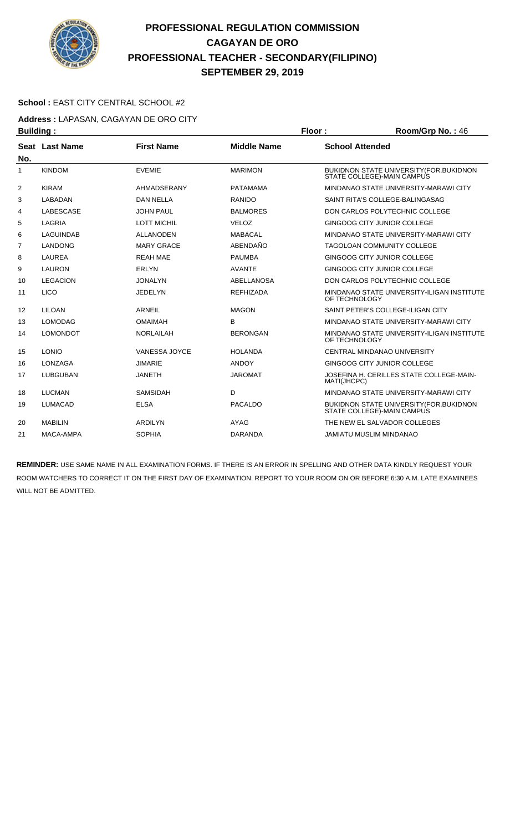

#### **School :** EAST CITY CENTRAL SCHOOL #2

**Address :** LAPASAN, CAGAYAN DE ORO CITY **Building : Floor : Floor : Room/Grp No. : 46** 

|     | .                     |                      |                    |                                                                              |
|-----|-----------------------|----------------------|--------------------|------------------------------------------------------------------------------|
| No. | <b>Seat Last Name</b> | <b>First Name</b>    | <b>Middle Name</b> | <b>School Attended</b>                                                       |
| 1   | <b>KINDOM</b>         | <b>EVEMIE</b>        | <b>MARIMON</b>     | BUKIDNON STATE UNIVERSITY (FOR. BUKIDNON<br>STATE COLLEGE)-MAIN CAMPUS       |
| 2   | <b>KIRAM</b>          | AHMADSERANY          | <b>PATAMAMA</b>    | MINDANAO STATE UNIVERSITY-MARAWI CITY                                        |
| 3   | LABADAN               | <b>DAN NELLA</b>     | <b>RANIDO</b>      | SAINT RITA'S COLLEGE-BALINGASAG                                              |
| 4   | <b>LABESCASE</b>      | <b>JOHN PAUL</b>     | <b>BALMORES</b>    | DON CARLOS POLYTECHNIC COLLEGE                                               |
| 5   | LAGRIA                | <b>LOTT MICHIL</b>   | <b>VELOZ</b>       | GINGOOG CITY JUNIOR COLLEGE                                                  |
| 6   | LAGUINDAB             | <b>ALLANODEN</b>     | <b>MABACAL</b>     | MINDANAO STATE UNIVERSITY-MARAWI CITY                                        |
| 7   | <b>LANDONG</b>        | <b>MARY GRACE</b>    | ABENDAÑO           | <b>TAGOLOAN COMMUNITY COLLEGE</b>                                            |
| 8   | <b>LAUREA</b>         | <b>REAH MAE</b>      | <b>PAUMBA</b>      | <b>GINGOOG CITY JUNIOR COLLEGE</b>                                           |
| 9   | <b>LAURON</b>         | <b>ERLYN</b>         | <b>AVANTE</b>      | <b>GINGOOG CITY JUNIOR COLLEGE</b>                                           |
| 10  | <b>LEGACION</b>       | <b>JONALYN</b>       | <b>ABELLANOSA</b>  | DON CARLOS POLYTECHNIC COLLEGE                                               |
| 11  | <b>LICO</b>           | <b>JEDELYN</b>       | <b>REFHIZADA</b>   | MINDANAO STATE UNIVERSITY-ILIGAN INSTITUTE<br>OF TECHNOLOGY                  |
| 12  | LILOAN                | <b>ARNEIL</b>        | <b>MAGON</b>       | SAINT PETER'S COLLEGE-ILIGAN CITY                                            |
| 13  | <b>LOMODAG</b>        | <b>OMAIMAH</b>       | B                  | MINDANAO STATE UNIVERSITY-MARAWI CITY                                        |
| 14  | <b>LOMONDOT</b>       | <b>NORLAILAH</b>     | <b>BERONGAN</b>    | MINDANAO STATE UNIVERSITY-ILIGAN INSTITUTE<br>OF TECHNOLOGY                  |
| 15  | <b>LONIO</b>          | <b>VANESSA JOYCE</b> | <b>HOLANDA</b>     | CENTRAL MINDANAO UNIVERSITY                                                  |
| 16  | LONZAGA               | <b>JIMARIE</b>       | <b>ANDOY</b>       | GINGOOG CITY JUNIOR COLLEGE                                                  |
| 17  | <b>LUBGUBAN</b>       | <b>JANETH</b>        | <b>JAROMAT</b>     | JOSEFINA H. CERILLES STATE COLLEGE-MAIN-<br>MATI(JHCPC)                      |
| 18  | <b>LUCMAN</b>         | <b>SAMSIDAH</b>      | D                  | MINDANAO STATE UNIVERSITY-MARAWI CITY                                        |
| 19  | <b>LUMACAD</b>        | <b>ELSA</b>          | <b>PACALDO</b>     | <b>BUKIDNON STATE UNIVERSITY (FOR.BUKIDNON</b><br>STATE COLLEGE)-MAIN CAMPUS |
| 20  | <b>MABILIN</b>        | <b>ARDILYN</b>       | <b>AYAG</b>        | THE NEW EL SALVADOR COLLEGES                                                 |
| 21  | MACA-AMPA             | <b>SOPHIA</b>        | <b>DARANDA</b>     | <b>JAMIATU MUSLIM MINDANAO</b>                                               |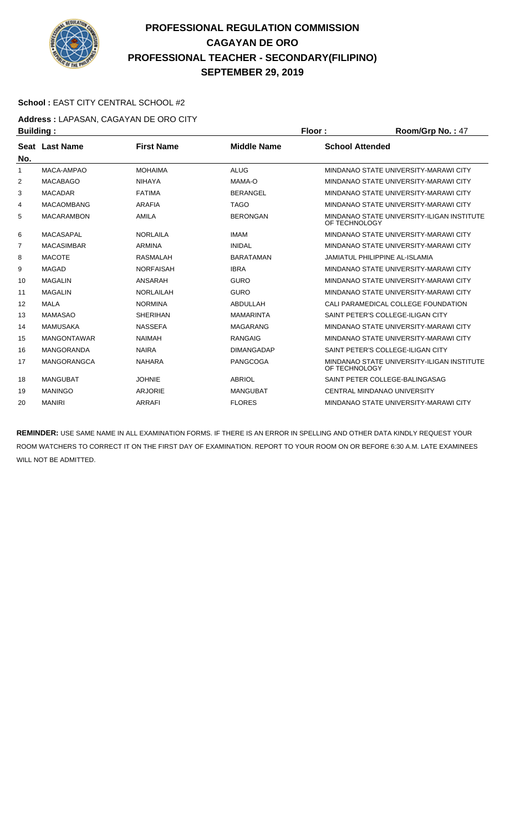

#### **School :** EAST CITY CENTRAL SCHOOL #2

**Address :** LAPASAN, CAGAYAN DE ORO CITY **Building : Floor : Floor : Room/Grp No. : 47** 

| Dununiy . |                       |                   |                    | .                                                           |
|-----------|-----------------------|-------------------|--------------------|-------------------------------------------------------------|
| No.       | <b>Seat Last Name</b> | <b>First Name</b> | <b>Middle Name</b> | <b>School Attended</b>                                      |
| 1         | MACA-AMPAO            | <b>MOHAIMA</b>    | <b>ALUG</b>        | MINDANAO STATE UNIVERSITY-MARAWI CITY                       |
| 2         | <b>MACABAGO</b>       | <b>NIHAYA</b>     | MAMA-O             | MINDANAO STATE UNIVERSITY-MARAWI CITY                       |
| 3         | <b>MACADAR</b>        | <b>FATIMA</b>     | <b>BERANGEL</b>    | MINDANAO STATE UNIVERSITY-MARAWI CITY                       |
| 4         | <b>MACAOMBANG</b>     | ARAFIA            | <b>TAGO</b>        | MINDANAO STATE UNIVERSITY-MARAWI CITY                       |
| 5         | <b>MACARAMBON</b>     | AMILA             | <b>BERONGAN</b>    | MINDANAO STATE UNIVERSITY-ILIGAN INSTITUTE<br>OF TECHNOLOGY |
| 6         | <b>MACASAPAL</b>      | <b>NORLAILA</b>   | <b>IMAM</b>        | MINDANAO STATE UNIVERSITY-MARAWI CITY                       |
| 7         | <b>MACASIMBAR</b>     | <b>ARMINA</b>     | <b>INIDAL</b>      | MINDANAO STATE UNIVERSITY-MARAWI CITY                       |
| 8         | <b>MACOTE</b>         | <b>RASMALAH</b>   | <b>BARATAMAN</b>   | <b>JAMIATUL PHILIPPINE AL-ISLAMIA</b>                       |
| 9         | <b>MAGAD</b>          | <b>NORFAISAH</b>  | <b>IBRA</b>        | MINDANAO STATE UNIVERSITY-MARAWI CITY                       |
| 10        | <b>MAGALIN</b>        | ANSARAH           | <b>GURO</b>        | MINDANAO STATE UNIVERSITY-MARAWI CITY                       |
| 11        | <b>MAGALIN</b>        | <b>NORLAILAH</b>  | <b>GURO</b>        | MINDANAO STATE UNIVERSITY-MARAWI CITY                       |
| 12        | <b>MALA</b>           | <b>NORMINA</b>    | ABDULLAH           | CALI PARAMEDICAL COLLEGE FOUNDATION                         |
| 13        | <b>MAMASAO</b>        | <b>SHERIHAN</b>   | <b>MAMARINTA</b>   | SAINT PETER'S COLLEGE-ILIGAN CITY                           |
| 14        | <b>MAMUSAKA</b>       | <b>NASSEFA</b>    | <b>MAGARANG</b>    | MINDANAO STATE UNIVERSITY-MARAWI CITY                       |
| 15        | <b>MANGONTAWAR</b>    | <b>NAIMAH</b>     | <b>RANGAIG</b>     | MINDANAO STATE UNIVERSITY-MARAWI CITY                       |
| 16        | <b>MANGORANDA</b>     | <b>NAIRA</b>      | <b>DIMANGADAP</b>  | SAINT PETER'S COLLEGE-ILIGAN CITY                           |
| 17        | <b>MANGORANGCA</b>    | <b>NAHARA</b>     | <b>PANGCOGA</b>    | MINDANAO STATE UNIVERSITY-ILIGAN INSTITUTE<br>OF TECHNOLOGY |
| 18        | MANGUBAT              | <b>JOHNIE</b>     | <b>ABRIOL</b>      | SAINT PETER COLLEGE-BALINGASAG                              |
| 19        | <b>MANINGO</b>        | <b>ARJORIE</b>    | <b>MANGUBAT</b>    | <b>CENTRAL MINDANAO UNIVERSITY</b>                          |
| 20        | <b>MANIRI</b>         | <b>ARRAFI</b>     | <b>FLORES</b>      | MINDANAO STATE UNIVERSITY-MARAWI CITY                       |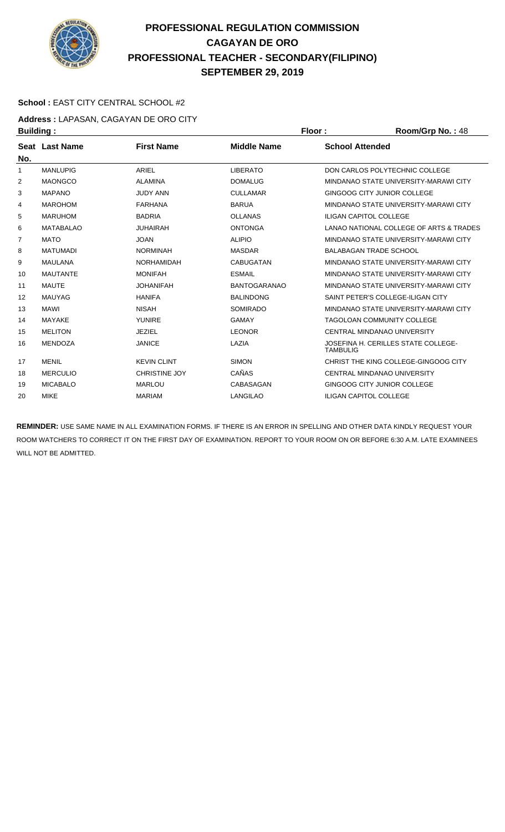

#### School : EAST CITY CENTRAL SCHOOL #2

**Address :** LAPASAN, CAGAYAN DE ORO CITY **Building : Floor : Floor : Room/Grp No. : 48** 

| --------- <u>-</u> |                       |                      |                     |                                                        |
|--------------------|-----------------------|----------------------|---------------------|--------------------------------------------------------|
| No.                | <b>Seat Last Name</b> | <b>First Name</b>    | <b>Middle Name</b>  | <b>School Attended</b>                                 |
| 1                  | <b>MANLUPIG</b>       | ARIEL                | <b>LIBERATO</b>     | DON CARLOS POLYTECHNIC COLLEGE                         |
| 2                  | <b>MAONGCO</b>        | <b>ALAMINA</b>       | <b>DOMALUG</b>      | MINDANAO STATE UNIVERSITY-MARAWI CITY                  |
| 3                  | <b>MAPANO</b>         | <b>JUDY ANN</b>      | <b>CULLAMAR</b>     | GINGOOG CITY JUNIOR COLLEGE                            |
| 4                  | <b>MAROHOM</b>        | <b>FARHANA</b>       | <b>BARUA</b>        | MINDANAO STATE UNIVERSITY-MARAWI CITY                  |
| 5                  | <b>MARUHOM</b>        | <b>BADRIA</b>        | <b>OLLANAS</b>      | <b>ILIGAN CAPITOL COLLEGE</b>                          |
| 6                  | <b>MATABALAO</b>      | <b>JUHAIRAH</b>      | <b>ONTONGA</b>      | LANAO NATIONAL COLLEGE OF ARTS & TRADES                |
| 7                  | <b>MATO</b>           | <b>JOAN</b>          | <b>ALIPIO</b>       | MINDANAO STATE UNIVERSITY-MARAWI CITY                  |
| 8                  | MATUMADI              | <b>NORMINAH</b>      | <b>MASDAR</b>       | <b>BALABAGAN TRADE SCHOOL</b>                          |
| 9                  | <b>MAULANA</b>        | <b>NORHAMIDAH</b>    | <b>CABUGATAN</b>    | MINDANAO STATE UNIVERSITY-MARAWI CITY                  |
| 10                 | <b>MAUTANTE</b>       | <b>MONIFAH</b>       | <b>ESMAIL</b>       | MINDANAO STATE UNIVERSITY-MARAWI CITY                  |
| 11                 | <b>MAUTE</b>          | <b>JOHANIFAH</b>     | <b>BANTOGARANAO</b> | MINDANAO STATE UNIVERSITY-MARAWI CITY                  |
| 12                 | <b>MAUYAG</b>         | <b>HANIFA</b>        | <b>BALINDONG</b>    | SAINT PETER'S COLLEGE-ILIGAN CITY                      |
| 13                 | <b>MAWI</b>           | <b>NISAH</b>         | <b>SOMIRADO</b>     | MINDANAO STATE UNIVERSITY-MARAWI CITY                  |
| 14                 | MAYAKE                | <b>YUNIRE</b>        | <b>GAMAY</b>        | TAGOLOAN COMMUNITY COLLEGE                             |
| 15                 | <b>MELITON</b>        | <b>JEZIEL</b>        | <b>LEONOR</b>       | <b>CENTRAL MINDANAO UNIVERSITY</b>                     |
| 16                 | <b>MENDOZA</b>        | <b>JANICE</b>        | LAZIA               | JOSEFINA H. CERILLES STATE COLLEGE-<br><b>TAMBULIG</b> |
| 17                 | <b>MENIL</b>          | <b>KEVIN CLINT</b>   | <b>SIMON</b>        | CHRIST THE KING COLLEGE-GINGOOG CITY                   |
| 18                 | <b>MERCULIO</b>       | <b>CHRISTINE JOY</b> | CAÑAS               | CENTRAL MINDANAO UNIVERSITY                            |
| 19                 | <b>MICABALO</b>       | <b>MARLOU</b>        | CABASAGAN           | GINGOOG CITY JUNIOR COLLEGE                            |
| 20                 | <b>MIKE</b>           | <b>MARIAM</b>        | <b>LANGILAO</b>     | <b>ILIGAN CAPITOL COLLEGE</b>                          |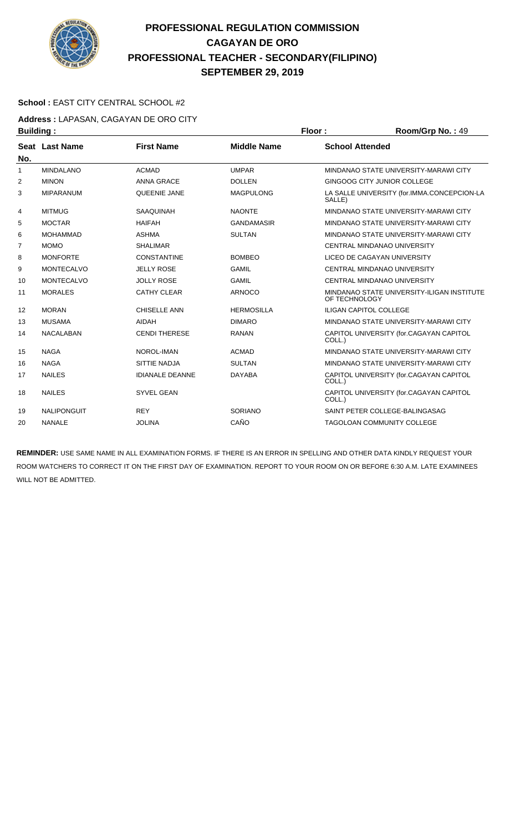

#### **School :** EAST CITY CENTRAL SCHOOL #2

**Address :** LAPASAN, CAGAYAN DE ORO CITY **Building : Floor : Floor : Room/Grp No. : 49** 

| sananig .      |                       |                        |                    | …………………………                                                  |
|----------------|-----------------------|------------------------|--------------------|-------------------------------------------------------------|
| No.            | <b>Seat Last Name</b> | <b>First Name</b>      | <b>Middle Name</b> | <b>School Attended</b>                                      |
| 1              | <b>MINDALANO</b>      | <b>ACMAD</b>           | <b>UMPAR</b>       | MINDANAO STATE UNIVERSITY-MARAWI CITY                       |
| 2              | <b>MINON</b>          | <b>ANNA GRACE</b>      | <b>DOLLEN</b>      | <b>GINGOOG CITY JUNIOR COLLEGE</b>                          |
| 3              | <b>MIPARANUM</b>      | QUEENIE JANE           | <b>MAGPULONG</b>   | LA SALLE UNIVERSITY (for.IMMA.CONCEPCION-LA<br>SALLE)       |
| 4              | <b>MITMUG</b>         | <b>SAAQUINAH</b>       | <b>NAONTE</b>      | MINDANAO STATE UNIVERSITY-MARAWI CITY                       |
| 5              | <b>MOCTAR</b>         | <b>HAIFAH</b>          | <b>GANDAMASIR</b>  | MINDANAO STATE UNIVERSITY-MARAWI CITY                       |
| 6              | <b>MOHAMMAD</b>       | <b>ASHMA</b>           | <b>SULTAN</b>      | MINDANAO STATE UNIVERSITY-MARAWI CITY                       |
| $\overline{7}$ | <b>MOMO</b>           | <b>SHALIMAR</b>        |                    | CENTRAL MINDANAO UNIVERSITY                                 |
| 8              | <b>MONFORTE</b>       | <b>CONSTANTINE</b>     | <b>BOMBEO</b>      | LICEO DE CAGAYAN UNIVERSITY                                 |
| 9              | <b>MONTECALVO</b>     | <b>JELLY ROSE</b>      | <b>GAMIL</b>       | CENTRAL MINDANAO UNIVERSITY                                 |
| 10             | <b>MONTECALVO</b>     | <b>JOLLY ROSE</b>      | <b>GAMIL</b>       | CENTRAL MINDANAO UNIVERSITY                                 |
| 11             | <b>MORALES</b>        | <b>CATHY CLEAR</b>     | <b>ARNOCO</b>      | MINDANAO STATE UNIVERSITY-ILIGAN INSTITUTE<br>OF TECHNOLOGY |
| 12             | <b>MORAN</b>          | <b>CHISELLE ANN</b>    | <b>HERMOSILLA</b>  | <b>ILIGAN CAPITOL COLLEGE</b>                               |
| 13             | <b>MUSAMA</b>         | <b>AIDAH</b>           | <b>DIMARO</b>      | MINDANAO STATE UNIVERSITY-MARAWI CITY                       |
| 14             | <b>NACALABAN</b>      | <b>CENDI THERESE</b>   | <b>RANAN</b>       | CAPITOL UNIVERSITY (for.CAGAYAN CAPITOL<br>COLL.)           |
| 15             | <b>NAGA</b>           | NOROL-IMAN             | <b>ACMAD</b>       | MINDANAO STATE UNIVERSITY-MARAWI CITY                       |
| 16             | <b>NAGA</b>           | <b>SITTIE NADJA</b>    | <b>SULTAN</b>      | MINDANAO STATE UNIVERSITY-MARAWI CITY                       |
| 17             | <b>NAILES</b>         | <b>IDIANALE DEANNE</b> | <b>DAYABA</b>      | CAPITOL UNIVERSITY (for.CAGAYAN CAPITOL<br>COLL.)           |
| 18             | <b>NAILES</b>         | <b>SYVEL GEAN</b>      |                    | CAPITOL UNIVERSITY (for.CAGAYAN CAPITOL<br>COLL.)           |
| 19             | <b>NALIPONGUIT</b>    | <b>REY</b>             | <b>SORIANO</b>     | SAINT PETER COLLEGE-BALINGASAG                              |
| 20             | <b>NANALE</b>         | <b>JOLINA</b>          | CAÑO               | <b>TAGOLOAN COMMUNITY COLLEGE</b>                           |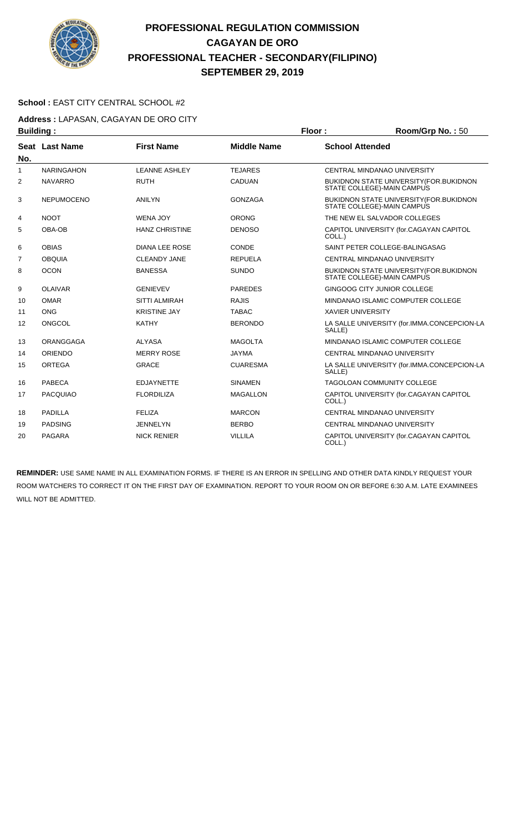

#### **School :** EAST CITY CENTRAL SCHOOL #2

**Address :** LAPASAN, CAGAYAN DE ORO CITY **Building : Floor : Room/Grp No. :** 50

| --------       |                   |                       |                    |                                                                               |
|----------------|-------------------|-----------------------|--------------------|-------------------------------------------------------------------------------|
| No.            | Seat Last Name    | <b>First Name</b>     | <b>Middle Name</b> | <b>School Attended</b>                                                        |
| 1              | <b>NARINGAHON</b> | <b>LEANNE ASHLEY</b>  | <b>TEJARES</b>     | <b>CENTRAL MINDANAO UNIVERSITY</b>                                            |
| 2              | <b>NAVARRO</b>    | <b>RUTH</b>           | <b>CADUAN</b>      | <b>BUKIDNON STATE UNIVERSITY (FOR. BUKIDNON</b><br>STATE COLLEGE)-MAIN CAMPUS |
| 3              | <b>NEPUMOCENO</b> | <b>ANILYN</b>         | <b>GONZAGA</b>     | BUKIDNON STATE UNIVERSITY (FOR. BUKIDNON<br>STATE COLLEGE)-MAIN CAMPUS        |
| 4              | <b>NOOT</b>       | <b>WENA JOY</b>       | <b>ORONG</b>       | THE NEW EL SALVADOR COLLEGES                                                  |
| 5              | OBA-OB            | <b>HANZ CHRISTINE</b> | <b>DENOSO</b>      | CAPITOL UNIVERSITY (for.CAGAYAN CAPITOL<br>COLL.)                             |
| 6              | <b>OBIAS</b>      | <b>DIANA LEE ROSE</b> | CONDE              | SAINT PETER COLLEGE-BALINGASAG                                                |
| $\overline{7}$ | <b>OBQUIA</b>     | <b>CLEANDY JANE</b>   | <b>REPUELA</b>     | CENTRAL MINDANAO UNIVERSITY                                                   |
| 8              | <b>OCON</b>       | <b>BANESSA</b>        | <b>SUNDO</b>       | BUKIDNON STATE UNIVERSITY (FOR. BUKIDNON<br>STATE COLLEGE)-MAIN CAMPUS        |
| 9              | <b>OLAIVAR</b>    | <b>GENIEVEV</b>       | <b>PAREDES</b>     | GINGOOG CITY JUNIOR COLLEGE                                                   |
| 10             | <b>OMAR</b>       | <b>SITTI ALMIRAH</b>  | <b>RAJIS</b>       | MINDANAO ISLAMIC COMPUTER COLLEGE                                             |
| 11             | <b>ONG</b>        | <b>KRISTINE JAY</b>   | <b>TABAC</b>       | <b>XAVIER UNIVERSITY</b>                                                      |
| 12             | ONGCOL            | <b>KATHY</b>          | <b>BERONDO</b>     | LA SALLE UNIVERSITY (for.IMMA.CONCEPCION-LA<br>SALLE)                         |
| 13             | <b>ORANGGAGA</b>  | <b>ALYASA</b>         | <b>MAGOLTA</b>     | MINDANAO ISLAMIC COMPUTER COLLEGE                                             |
| 14             | <b>ORIENDO</b>    | <b>MERRY ROSE</b>     | <b>JAYMA</b>       | CENTRAL MINDANAO UNIVERSITY                                                   |
| 15             | <b>ORTEGA</b>     | <b>GRACE</b>          | <b>CUARESMA</b>    | LA SALLE UNIVERSITY (for.IMMA.CONCEPCION-LA<br>SALLE)                         |
| 16             | PABECA            | <b>EDJAYNETTE</b>     | <b>SINAMEN</b>     | <b>TAGOLOAN COMMUNITY COLLEGE</b>                                             |
| 17             | <b>PACQUIAO</b>   | <b>FLORDILIZA</b>     | <b>MAGALLON</b>    | CAPITOL UNIVERSITY (for.CAGAYAN CAPITOL<br>COLL.)                             |
| 18             | <b>PADILLA</b>    | <b>FELIZA</b>         | <b>MARCON</b>      | CENTRAL MINDANAO UNIVERSITY                                                   |
| 19             | <b>PADSING</b>    | <b>JENNELYN</b>       | <b>BERBO</b>       | <b>CENTRAL MINDANAO UNIVERSITY</b>                                            |
| 20             | <b>PAGARA</b>     | <b>NICK RENIER</b>    | <b>VILLILA</b>     | CAPITOL UNIVERSITY (for.CAGAYAN CAPITOL<br>COLL.)                             |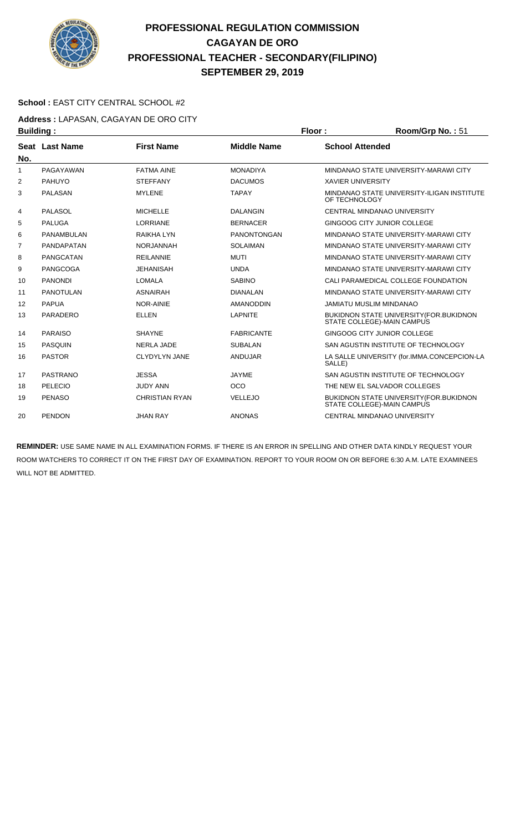

#### **School :** EAST CITY CENTRAL SCHOOL #2

**Address :** LAPASAN, CAGAYAN DE ORO CITY **Building : Floor : Floor : Room/Grp No. : 51** 

| sananiyi |                  |                       |                    |                                                                              |
|----------|------------------|-----------------------|--------------------|------------------------------------------------------------------------------|
| No.      | Seat Last Name   | <b>First Name</b>     | <b>Middle Name</b> | <b>School Attended</b>                                                       |
| 1        | PAGAYAWAN        | <b>FATMA AINE</b>     | <b>MONADIYA</b>    | MINDANAO STATE UNIVERSITY-MARAWI CITY                                        |
| 2        | <b>PAHUYO</b>    | <b>STEFFANY</b>       | <b>DACUMOS</b>     | <b>XAVIER UNIVERSITY</b>                                                     |
| 3        | <b>PALASAN</b>   | <b>MYLENE</b>         | <b>TAPAY</b>       | MINDANAO STATE UNIVERSITY-ILIGAN INSTITUTE<br>OF TECHNOLOGY                  |
| 4        | <b>PALASOL</b>   | <b>MICHELLE</b>       | <b>DALANGIN</b>    | CENTRAL MINDANAO UNIVERSITY                                                  |
| 5        | <b>PALUGA</b>    | <b>LORRIANE</b>       | <b>BERNACER</b>    | GINGOOG CITY JUNIOR COLLEGE                                                  |
| 6        | PANAMBULAN       | <b>RAIKHA LYN</b>     | <b>PANONTONGAN</b> | MINDANAO STATE UNIVERSITY-MARAWI CITY                                        |
| 7        | PANDAPATAN       | <b>NORJANNAH</b>      | <b>SOLAIMAN</b>    | MINDANAO STATE UNIVERSITY-MARAWI CITY                                        |
| 8        | <b>PANGCATAN</b> | <b>REILANNIE</b>      | <b>MUTI</b>        | MINDANAO STATE UNIVERSITY-MARAWI CITY                                        |
| 9        | <b>PANGCOGA</b>  | <b>JEHANISAH</b>      | <b>UNDA</b>        | MINDANAO STATE UNIVERSITY-MARAWI CITY                                        |
| 10       | <b>PANONDI</b>   | <b>LOMALA</b>         | <b>SABINO</b>      | CALI PARAMEDICAL COLLEGE FOUNDATION                                          |
| 11       | <b>PANOTULAN</b> | <b>ASNAIRAH</b>       | <b>DIANALAN</b>    | MINDANAO STATE UNIVERSITY-MARAWI CITY                                        |
| 12       | <b>PAPUA</b>     | NOR-AINIE             | <b>AMANODDIN</b>   | JAMIATU MUSLIM MINDANAO                                                      |
| 13       | <b>PARADERO</b>  | <b>ELLEN</b>          | <b>LAPNITE</b>     | <b>BUKIDNON STATE UNIVERSITY (FOR.BUKIDNON</b><br>STATE COLLEGE)-MAIN CAMPUS |
| 14       | <b>PARAISO</b>   | <b>SHAYNE</b>         | <b>FABRICANTE</b>  | GINGOOG CITY JUNIOR COLLEGE                                                  |
| 15       | <b>PASQUIN</b>   | <b>NERLA JADE</b>     | <b>SUBALAN</b>     | SAN AGUSTIN INSTITUTE OF TECHNOLOGY                                          |
| 16       | <b>PASTOR</b>    | <b>CLYDYLYN JANE</b>  | <b>ANDUJAR</b>     | LA SALLE UNIVERSITY (for.IMMA.CONCEPCION-LA<br>SALLE)                        |
| 17       | <b>PASTRANO</b>  | <b>JESSA</b>          | <b>JAYME</b>       | SAN AGUSTIN INSTITUTE OF TECHNOLOGY                                          |
| 18       | PELECIO          | <b>JUDY ANN</b>       | <b>OCO</b>         | THE NEW EL SALVADOR COLLEGES                                                 |
| 19       | <b>PENASO</b>    | <b>CHRISTIAN RYAN</b> | VELLEJO            | <b>BUKIDNON STATE UNIVERSITY (FOR.BUKIDNON</b><br>STATE COLLEGE)-MAIN CAMPUS |
| 20       | <b>PENDON</b>    | <b>JHAN RAY</b>       | <b>ANONAS</b>      | CENTRAL MINDANAO UNIVERSITY                                                  |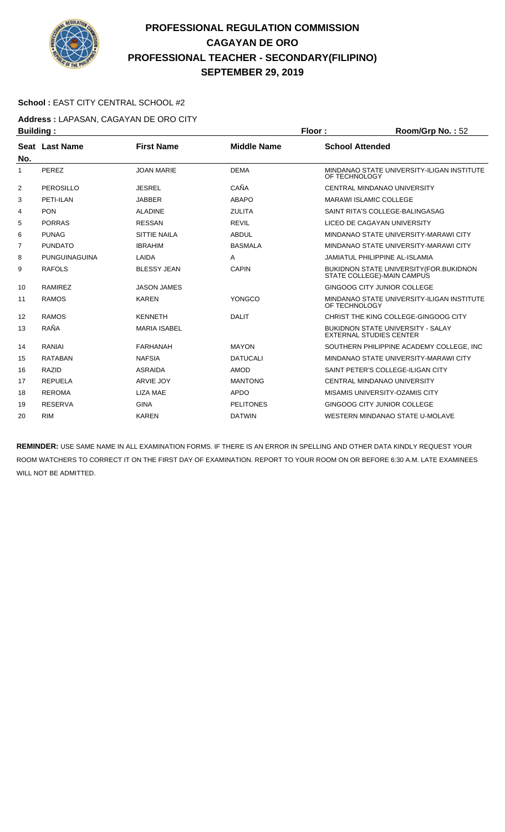

#### **School :** EAST CITY CENTRAL SCHOOL #2

**Address :** LAPASAN, CAGAYAN DE ORO CITY **Building : Floor : Floor : Room/Grp No. : 52** 

| sananig .      |                |                     |                    |                                                                            |
|----------------|----------------|---------------------|--------------------|----------------------------------------------------------------------------|
| No.            | Seat Last Name | <b>First Name</b>   | <b>Middle Name</b> | <b>School Attended</b>                                                     |
| 1              | PEREZ          | <b>JOAN MARIE</b>   | <b>DEMA</b>        | MINDANAO STATE UNIVERSITY-ILIGAN INSTITUTE<br>OF TECHNOLOGY                |
| $\overline{2}$ | PEROSILLO      | <b>JESREL</b>       | CAÑA               | CENTRAL MINDANAO UNIVERSITY                                                |
| 3              | PETI-ILAN      | <b>JABBER</b>       | <b>ABAPO</b>       | <b>MARAWI ISLAMIC COLLEGE</b>                                              |
| 4              | <b>PON</b>     | <b>ALADINE</b>      | <b>ZULITA</b>      | SAINT RITA'S COLLEGE-BALINGASAG                                            |
| 5              | <b>PORRAS</b>  | <b>RESSAN</b>       | <b>REVIL</b>       | LICEO DE CAGAYAN UNIVERSITY                                                |
| 6              | <b>PUNAG</b>   | <b>SITTIE NAILA</b> | <b>ABDUL</b>       | MINDANAO STATE UNIVERSITY-MARAWI CITY                                      |
| $\overline{7}$ | <b>PUNDATO</b> | <b>IBRAHIM</b>      | <b>BASMALA</b>     | MINDANAO STATE UNIVERSITY-MARAWI CITY                                      |
| 8              | PUNGUINAGUINA  | LAIDA               | A                  | <b>JAMIATUL PHILIPPINE AL-ISLAMIA</b>                                      |
| 9              | <b>RAFOLS</b>  | <b>BLESSY JEAN</b>  | <b>CAPIN</b>       | BUKIDNON STATE UNIVERSITY (FOR. BUKIDNON<br>STATE COLLEGE)-MAIN CAMPUS     |
| 10             | <b>RAMIREZ</b> | <b>JASON JAMES</b>  |                    | <b>GINGOOG CITY JUNIOR COLLEGE</b>                                         |
| 11             | <b>RAMOS</b>   | <b>KAREN</b>        | YONGCO             | MINDANAO STATE UNIVERSITY-ILIGAN INSTITUTE<br>OF TECHNOLOGY                |
| 12             | <b>RAMOS</b>   | <b>KENNETH</b>      | <b>DALIT</b>       | CHRIST THE KING COLLEGE-GINGOOG CITY                                       |
| 13             | RAÑA           | <b>MARIA ISABEL</b> |                    | <b>BUKIDNON STATE UNIVERSITY - SALAY</b><br><b>EXTERNAL STUDIES CENTER</b> |
| 14             | <b>RANIAI</b>  | <b>FARHANAH</b>     | <b>MAYON</b>       | SOUTHERN PHILIPPINE ACADEMY COLLEGE, INC                                   |
| 15             | <b>RATABAN</b> | <b>NAFSIA</b>       | <b>DATUCALI</b>    | MINDANAO STATE UNIVERSITY-MARAWI CITY                                      |
| 16             | <b>RAZID</b>   | <b>ASRAIDA</b>      | <b>AMOD</b>        | SAINT PETER'S COLLEGE-ILIGAN CITY                                          |
| 17             | <b>REPUELA</b> | <b>ARVIE JOY</b>    | <b>MANTONG</b>     | CENTRAL MINDANAO UNIVERSITY                                                |
| 18             | <b>REROMA</b>  | <b>LIZA MAE</b>     | <b>APDO</b>        | MISAMIS UNIVERSITY-OZAMIS CITY                                             |
| 19             | <b>RESERVA</b> | <b>GINA</b>         | <b>PELITONES</b>   | <b>GINGOOG CITY JUNIOR COLLEGE</b>                                         |
| 20             | <b>RIM</b>     | <b>KAREN</b>        | <b>DATWIN</b>      | WESTERN MINDANAO STATE U-MOLAVE                                            |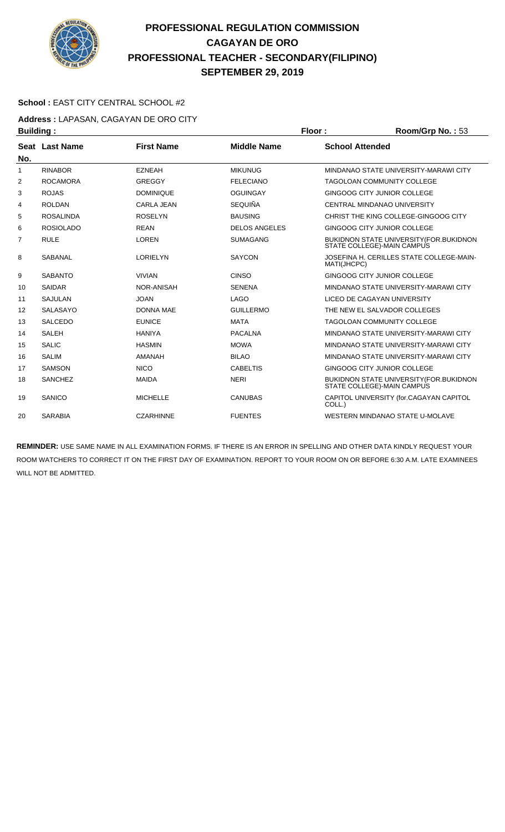

#### **School :** EAST CITY CENTRAL SCHOOL #2

**Address :** LAPASAN, CAGAYAN DE ORO CITY

| <b>Building:</b> |                  |                   |                      | Floor:                 | Room/Grp No.: 53                                                              |
|------------------|------------------|-------------------|----------------------|------------------------|-------------------------------------------------------------------------------|
|                  | Seat Last Name   | <b>First Name</b> | <b>Middle Name</b>   | <b>School Attended</b> |                                                                               |
| No.              |                  |                   |                      |                        |                                                                               |
| $\mathbf{1}$     | <b>RINABOR</b>   | <b>EZNEAH</b>     | <b>MIKUNUG</b>       |                        | MINDANAO STATE UNIVERSITY-MARAWI CITY                                         |
| 2                | <b>ROCAMORA</b>  | <b>GREGGY</b>     | <b>FELECIANO</b>     |                        | <b>TAGOLOAN COMMUNITY COLLEGE</b>                                             |
| 3                | <b>ROJAS</b>     | <b>DOMINIQUE</b>  | <b>OGUINGAY</b>      |                        | GINGOOG CITY JUNIOR COLLEGE                                                   |
| 4                | <b>ROLDAN</b>    | <b>CARLA JEAN</b> | <b>SEQUIÑA</b>       |                        | CENTRAL MINDANAO UNIVERSITY                                                   |
| 5                | <b>ROSALINDA</b> | <b>ROSELYN</b>    | <b>BAUSING</b>       |                        | CHRIST THE KING COLLEGE-GINGOOG CITY                                          |
| 6                | <b>ROSIOLADO</b> | <b>REAN</b>       | <b>DELOS ANGELES</b> |                        | GINGOOG CITY JUNIOR COLLEGE                                                   |
| 7                | <b>RULE</b>      | <b>LOREN</b>      | <b>SUMAGANG</b>      |                        | <b>BUKIDNON STATE UNIVERSITY (FOR.BUKIDNON)</b><br>STATE COLLEGE)-MAIN CAMPUS |
| 8                | SABANAL          | <b>LORIELYN</b>   | <b>SAYCON</b>        | MATI(JHCPC)            | JOSEFINA H. CERILLES STATE COLLEGE-MAIN-                                      |
| 9                | <b>SABANTO</b>   | <b>VIVIAN</b>     | <b>CINSO</b>         |                        | GINGOOG CITY JUNIOR COLLEGE                                                   |
| 10               | <b>SAIDAR</b>    | NOR-ANISAH        | <b>SENENA</b>        |                        | MINDANAO STATE UNIVERSITY-MARAWI CITY                                         |
| 11               | <b>SAJULAN</b>   | <b>JOAN</b>       | <b>LAGO</b>          |                        | LICEO DE CAGAYAN UNIVERSITY                                                   |
| 12               | <b>SALASAYO</b>  | <b>DONNA MAE</b>  | <b>GUILLERMO</b>     |                        | THE NEW EL SALVADOR COLLEGES                                                  |
| 13               | <b>SALCEDO</b>   | <b>EUNICE</b>     | <b>MATA</b>          |                        | <b>TAGOLOAN COMMUNITY COLLEGE</b>                                             |
| 14               | <b>SALEH</b>     | <b>HANIYA</b>     | <b>PACALNA</b>       |                        | MINDANAO STATE UNIVERSITY-MARAWI CITY                                         |
| 15               | <b>SALIC</b>     | <b>HASMIN</b>     | <b>MOWA</b>          |                        | MINDANAO STATE UNIVERSITY-MARAWI CITY                                         |
| 16               | <b>SALIM</b>     | <b>AMANAH</b>     | <b>BILAO</b>         |                        | MINDANAO STATE UNIVERSITY-MARAWI CITY                                         |
| 17               | <b>SAMSON</b>    | <b>NICO</b>       | <b>CABELTIS</b>      |                        | GINGOOG CITY JUNIOR COLLEGE                                                   |
| 18               | <b>SANCHEZ</b>   | <b>MAIDA</b>      | <b>NERI</b>          |                        | <b>BUKIDNON STATE UNIVERSITY (FOR.BUKIDNON)</b><br>STATE COLLEGE)-MAIN CAMPUS |
| 19               | SANICO           | <b>MICHELLE</b>   | <b>CANUBAS</b>       | COLL.)                 | CAPITOL UNIVERSITY (for.CAGAYAN CAPITOL                                       |
| 20               | <b>SARABIA</b>   | <b>CZARHINNE</b>  | <b>FUENTES</b>       |                        | WESTERN MINDANAO STATE U-MOLAVE                                               |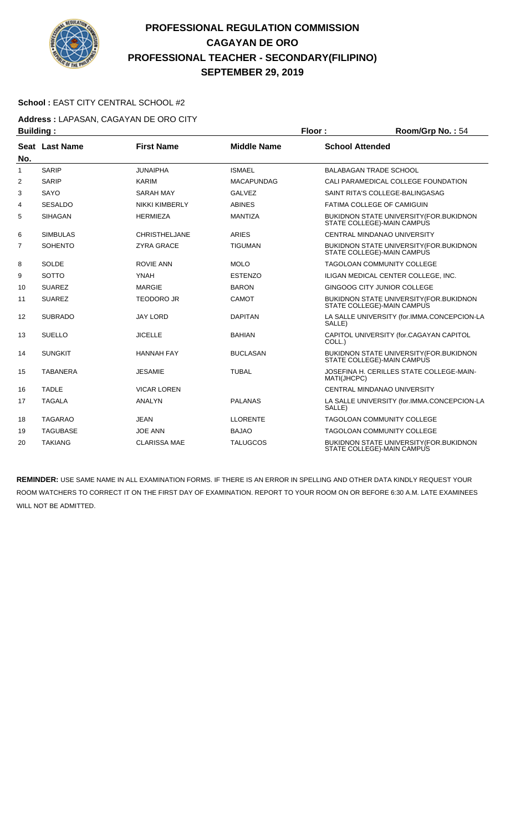

#### **School :** EAST CITY CENTRAL SCHOOL #2

**Address :** LAPASAN, CAGAYAN DE ORO CITY

| <b>Building:</b> |                 |                       |                    | Floor:                 | Room/Grp No.: 54                                                               |
|------------------|-----------------|-----------------------|--------------------|------------------------|--------------------------------------------------------------------------------|
|                  | Seat Last Name  | <b>First Name</b>     | <b>Middle Name</b> | <b>School Attended</b> |                                                                                |
| No.              |                 |                       |                    |                        |                                                                                |
| 1                | <b>SARIP</b>    | <b>JUNAIPHA</b>       | <b>ISMAEL</b>      |                        | <b>BALABAGAN TRADE SCHOOL</b>                                                  |
| $\overline{2}$   | <b>SARIP</b>    | <b>KARIM</b>          | <b>MACAPUNDAG</b>  |                        | CALI PARAMEDICAL COLLEGE FOUNDATION                                            |
| 3                | SAYO            | <b>SARAH MAY</b>      | <b>GALVEZ</b>      |                        | SAINT RITA'S COLLEGE-BALINGASAG                                                |
| 4                | <b>SESALDO</b>  | <b>NIKKI KIMBERLY</b> | <b>ABINES</b>      |                        | <b>FATIMA COLLEGE OF CAMIGUIN</b>                                              |
| 5                | <b>SIHAGAN</b>  | <b>HERMIEZA</b>       | <b>MANTIZA</b>     |                        | <b>BUKIDNON STATE UNIVERSITY (FOR. BUKIDNON)</b><br>STATE COLLEGE)-MAIN CAMPUS |
| 6                | <b>SIMBULAS</b> | <b>CHRISTHELJANE</b>  | <b>ARIES</b>       |                        | CENTRAL MINDANAO UNIVERSITY                                                    |
| $\overline{7}$   | <b>SOHENTO</b>  | <b>ZYRA GRACE</b>     | <b>TIGUMAN</b>     |                        | <b>BUKIDNON STATE UNIVERSITY (FOR.BUKIDNON</b><br>STATE COLLEGE)-MAIN CAMPUS   |
| 8                | <b>SOLDE</b>    | <b>ROVIE ANN</b>      | <b>MOLO</b>        |                        | <b>TAGOLOAN COMMUNITY COLLEGE</b>                                              |
| 9                | <b>SOTTO</b>    | <b>YNAH</b>           | <b>ESTENZO</b>     |                        | ILIGAN MEDICAL CENTER COLLEGE, INC.                                            |
| 10               | <b>SUAREZ</b>   | <b>MARGIE</b>         | <b>BARON</b>       |                        | GINGOOG CITY JUNIOR COLLEGE                                                    |
| 11               | <b>SUAREZ</b>   | <b>TEODORO JR</b>     | CAMOT              |                        | <b>BUKIDNON STATE UNIVERSITY (FOR. BUKIDNON)</b><br>STATE COLLEGE)-MAIN CAMPUS |
| 12               | <b>SUBRADO</b>  | <b>JAY LORD</b>       | <b>DAPITAN</b>     | SALLE)                 | LA SALLE UNIVERSITY (for.IMMA.CONCEPCION-LA                                    |
| 13               | <b>SUELLO</b>   | <b>JICELLE</b>        | <b>BAHIAN</b>      | COLL.)                 | CAPITOL UNIVERSITY (for.CAGAYAN CAPITOL                                        |
| 14               | <b>SUNGKIT</b>  | <b>HANNAH FAY</b>     | <b>BUCLASAN</b>    |                        | BUKIDNON STATE UNIVERSITY (FOR. BUKIDNON<br>STATE COLLEGE)-MAIN CAMPUS         |
| 15               | <b>TABANERA</b> | <b>JESAMIE</b>        | <b>TUBAL</b>       | MATI(JHCPC)            | JOSEFINA H. CERILLES STATE COLLEGE-MAIN-                                       |
| 16               | <b>TADLE</b>    | <b>VICAR LOREN</b>    |                    |                        | <b>CENTRAL MINDANAO UNIVERSITY</b>                                             |
| 17               | <b>TAGALA</b>   | <b>ANALYN</b>         | <b>PALANAS</b>     | SALLE)                 | LA SALLE UNIVERSITY (for.IMMA.CONCEPCION-LA                                    |
| 18               | <b>TAGARAO</b>  | <b>JEAN</b>           | <b>LLORENTE</b>    |                        | <b>TAGOLOAN COMMUNITY COLLEGE</b>                                              |
| 19               | <b>TAGUBASE</b> | <b>JOE ANN</b>        | <b>BAJAO</b>       |                        | <b>TAGOLOAN COMMUNITY COLLEGE</b>                                              |
| 20               | <b>TAKIANG</b>  | <b>CLARISSA MAE</b>   | <b>TALUGCOS</b>    |                        | BUKIDNON STATE UNIVERSITY (FOR. BUKIDNON<br>STATE COLLEGE)-MAIN CAMPUS         |